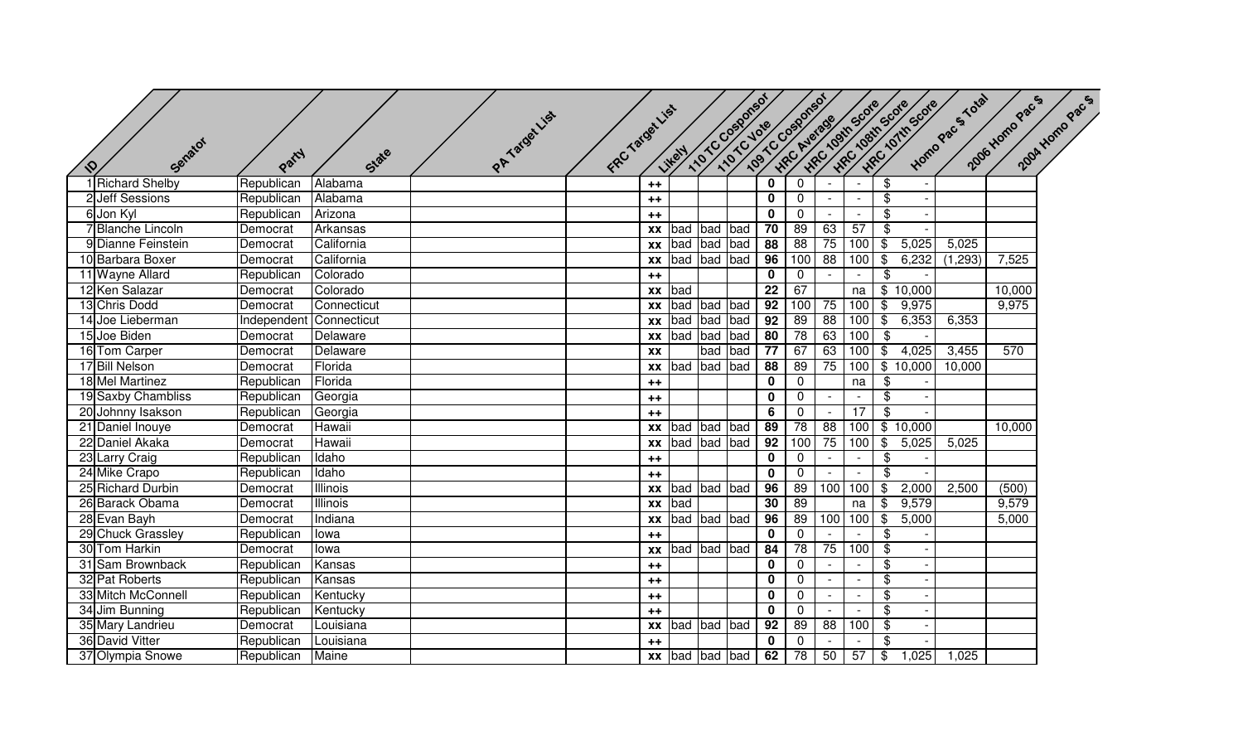| Senator<br>$\mathcal{Q}$ | Party       | State           | PATarget List | FRCTarget List |           | Likely               |     | 110TC Costonsof |                         | 1/01C Voie cosponsor<br>HRC Average | -Ifrc 10sth Scote | -WEC 108th Scote         |                            | HRC 10TH Scote | Homo Pac 5 Total | 2006 Homo Pac s | 2004 Homo Pac S |
|--------------------------|-------------|-----------------|---------------|----------------|-----------|----------------------|-----|-----------------|-------------------------|-------------------------------------|-------------------|--------------------------|----------------------------|----------------|------------------|-----------------|-----------------|
| 1 Richard Shelby         | Republican  | Alabama         |               |                | $++$      |                      |     |                 | $\overline{\mathbf{0}}$ | $\overline{0}$                      |                   | $\sim$                   | \$                         |                |                  |                 |                 |
| 2 Jeff Sessions          | Republican  | Alabama         |               |                | $++$      |                      |     |                 | $\mathbf 0$             | $\mathbf{0}$                        |                   | $\overline{\phantom{a}}$ | \$                         |                |                  |                 |                 |
| 6 Jon Kyl                | Republican  | Arizona         |               |                | $++$      |                      |     |                 | $\mathbf 0$             | $\mathbf 0$                         | $\sim$            | $\sim$                   | \$                         |                |                  |                 |                 |
| 7 Blanche Lincoln        | Democrat    | Arkansas        |               |                |           | xx bad bad           |     | bad             | 70                      | 89                                  | 63                | 57                       | \$                         |                |                  |                 |                 |
| 9 Dianne Feinstein       | Democrat    | California      |               |                |           | xx   bad   bad   bad |     |                 | 88                      | 88                                  | 75                | 100                      | \$                         | 5,025          | 5,025            |                 |                 |
| 10 Barbara Boxer         | Democrat    | California      |               |                |           | xx bad bad bad       |     |                 | 96                      | 100                                 | 88                | 100                      | $\overline{\$}$            | 6,232          | (1,293)          | 7,525           |                 |
| 11 Wayne Allard          | Republican  | Colorado        |               |                | $++$      |                      |     |                 | $\mathbf 0$             | $\mathbf 0$                         |                   | $\sim$                   | \$                         |                |                  |                 |                 |
| 12 Ken Salazar           | Democrat    | Colorado        |               |                |           | xx bad               |     |                 | $\overline{22}$         | 67                                  |                   | na                       |                            | \$10,000       |                  | 10,000          |                 |
| 13 Chris Dodd            | Democrat    | Connecticut     |               |                |           | xx bad bad           |     | bad             | 92                      | 100                                 | 75                | 100                      | $\overline{\mathcal{G}}$   | 9,975          |                  | 9,975           |                 |
| 14 Joe Lieberman         | Independent | Connecticut     |               |                |           |                      |     | xx bad bad bad  | 92                      | 89                                  | 88                | 100                      | $\overline{\$}$            | 6,353          | 6,353            |                 |                 |
| 15 Joe Biden             | Democrat    | Delaware        |               |                |           | xx bad bad           |     | bad             | 80                      | 78                                  | 63                | 100                      | $\overline{\$}$            |                |                  |                 |                 |
| 16 Tom Carper            | Democrat    | Delaware        |               |                | <b>XX</b> |                      | bad | bad             | 77                      | 67                                  | 63                | 100                      | $\overline{\$}$            | 4,025          | 3,455            | 570             |                 |
| 17 Bill Nelson           | Democrat    | Florida         |               |                |           | xx bad bad           |     | bad             | 88                      | 89                                  | 75                | 100                      |                            | \$10,000       | 10,000           |                 |                 |
| 18 Mel Martinez          | Republican  | Florida         |               |                | $++$      |                      |     |                 | $\mathbf 0$             | $\overline{0}$                      |                   | na                       | $\boldsymbol{\mathsf{\$}}$ |                |                  |                 |                 |
| 19 Saxby Chambliss       | Republican  | Georgia         |               |                | $++$      |                      |     |                 | $\mathbf 0$             | $\mathbf 0$                         |                   |                          | $\overline{\mathbf{3}}$    |                |                  |                 |                 |
| 20 Johnny Isakson        | Republican  | Georgia         |               |                | $++$      |                      |     |                 | 6                       | $\overline{0}$                      |                   | $\overline{17}$          | $\overline{\mathcal{S}}$   |                |                  |                 |                 |
| 21 Daniel Inouye         | Democrat    | Hawaii          |               |                |           | xx bad bad           |     | bad             | 89                      | 78                                  | 88                | 100                      |                            | \$10,000       |                  | 10,000          |                 |
| 22 Daniel Akaka          | Democrat    | Hawaii          |               |                | <b>XX</b> | bad bad bad          |     |                 | 92                      | 100                                 | 75                | 100                      | $\overline{\mathbf{e}}$    | 5,025          | 5,025            |                 |                 |
| 23 Larry Craig           | Republican  | Idaho           |               |                | $++$      |                      |     |                 | $\mathbf 0$             | $\mathbf 0$                         |                   | $\sim$                   | $\$\$                      |                |                  |                 |                 |
| 24 Mike Crapo            | Republican  | Idaho           |               |                | $++$      |                      |     |                 | $\mathbf 0$             | $\mathbf 0$                         |                   |                          | $\overline{\mathbf{3}}$    |                |                  |                 |                 |
| 25 Richard Durbin        | Democrat    | <b>Illinois</b> |               |                |           | xx bad bad bad       |     |                 | 96                      | 89                                  | 100               | 100                      | $\overline{\mathcal{S}}$   | 2,000          | 2,500            | (500)           |                 |
| 26 Barack Obama          | Democrat    | <b>Illinois</b> |               |                | <b>XX</b> | bad                  |     |                 | 30                      | 89                                  |                   | na                       | $\overline{\mathcal{G}}$   | 9,579          |                  | 9,579           |                 |
| 28 Evan Bayh             | Democrat    | Indiana         |               |                |           | xx bad bad bad       |     |                 | 96                      | 89                                  | 100               | 100                      | $\overline{\mathbf{e}}$    | 5,000          |                  | 5,000           |                 |
| 29 Chuck Grassley        | Republican  | lowa            |               |                | $++$      |                      |     |                 | $\mathbf 0$             | $\mathbf 0$                         |                   |                          | $\boldsymbol{\mathsf{\$}}$ |                |                  |                 |                 |
| 30 Tom Harkin            | Democrat    | lowa            |               |                |           | xx bad bad bad       |     |                 | 84                      | 78                                  | 75                | 100                      | $\frac{1}{2}$              |                |                  |                 |                 |
| 31 Sam Brownback         | Republican  | Kansas          |               |                | $++$      |                      |     |                 | $\mathbf 0$             | $\mathbf 0$                         |                   | $\sim$                   | \$                         |                |                  |                 |                 |
| 32 Pat Roberts           | Republican  | Kansas          |               |                | $++$      |                      |     |                 | $\mathbf 0$             | $\mathbf 0$                         |                   | $\sim$                   | \$                         |                |                  |                 |                 |
| 33 Mitch McConnell       | Republican  | Kentucky        |               |                | $++$      |                      |     |                 | $\mathbf 0$             | $\mathbf 0$                         |                   | $\overline{\phantom{a}}$ | \$                         |                |                  |                 |                 |
| 34 Jim Bunning           | Republican  | Kentucky        |               |                | $++$      |                      |     |                 | $\mathbf 0$             | $\mathbf 0$                         |                   | $\sim$                   | \$                         |                |                  |                 |                 |
| 35 Mary Landrieu         | Democrat    | Louisiana       |               |                |           | xx bad bad bad       |     |                 | 92                      | 89                                  | 88                | 100                      | $\boldsymbol{\mathsf{\$}}$ |                |                  |                 |                 |
| 36 David Vitter          | Republican  | Louisiana       |               |                | $++$      |                      |     |                 | $\mathbf{0}$            | $\mathbf 0$                         |                   |                          | \$                         |                |                  |                 |                 |
| 37 Olympia Snowe         | Republican  | Maine           |               |                |           | xx bad bad bad       |     |                 | 62                      | 78                                  | 50                | 57                       | \$                         | 1,025          | 1,025            |                 |                 |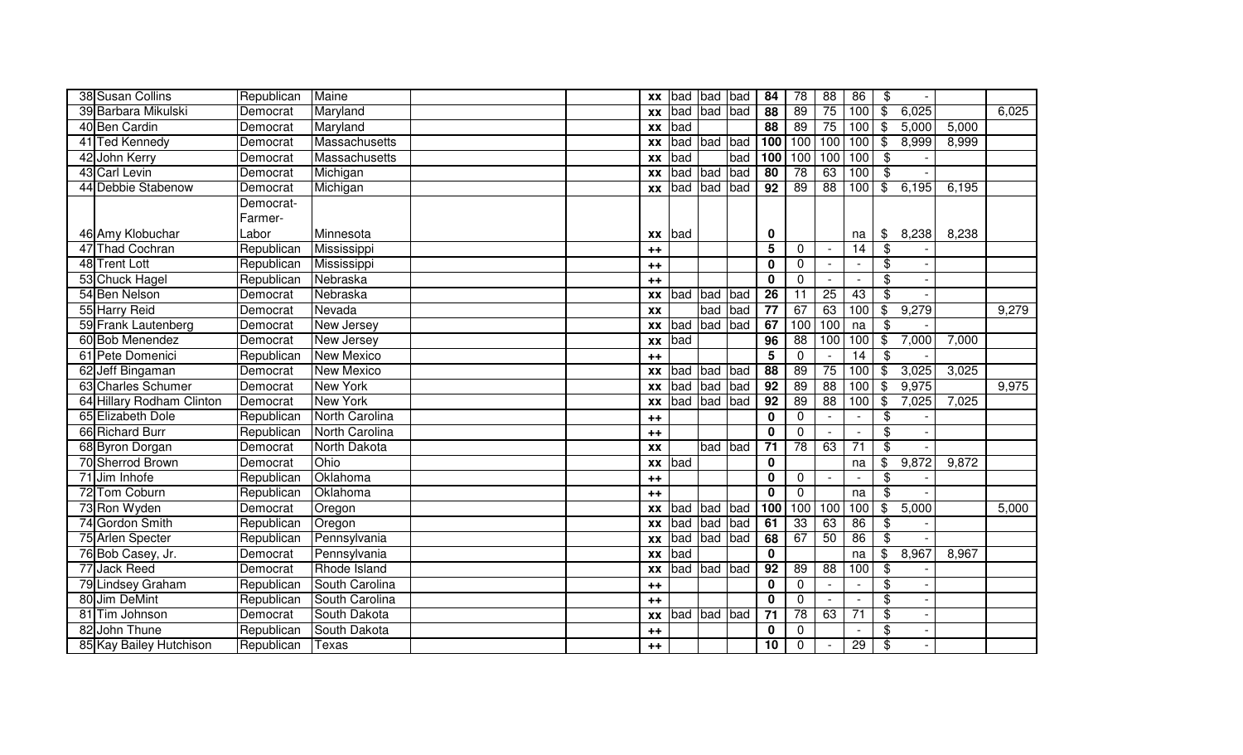| 38 Susan Collins          | Republican | Maine                |  | XX        | bad | bad bad |     | 84              | 78              | 88              | 86              | \$                       |       |       |       |
|---------------------------|------------|----------------------|--|-----------|-----|---------|-----|-----------------|-----------------|-----------------|-----------------|--------------------------|-------|-------|-------|
| 39 Barbara Mikulski       | Democrat   | Maryland             |  | XX        | bad | bad bad |     | $\overline{88}$ | 89              | 75              | 100             | \$                       | 6,025 |       | 6,025 |
| 40 Ben Cardin             | Democrat   | Maryland             |  | <b>XX</b> | bad |         |     | $\overline{88}$ | 89              | 75              | 100             | $\$\$                    | 5,000 | 5,000 |       |
| 41 Ted Kennedy            | Democrat   | Massachusetts        |  | XX        | bad | bad bad |     | 100             | 100             | 100             | 100             | \$                       | 8,999 | 8,999 |       |
| 42 John Kerry             | Democrat   | <b>Massachusetts</b> |  | <b>XX</b> | bad |         | bad | 100             | 100             | 100             | 100             | \$                       |       |       |       |
| 43 Carl Levin             | Democrat   | Michigan             |  | <b>XX</b> | bad | bad     | bad | $\overline{80}$ | 78              | 63              | 100             | $\overline{\mathbf{e}}$  |       |       |       |
| 44 Debbie Stabenow        | Democrat   | Michigan             |  | <b>XX</b> | bad | bad bad |     | $\overline{92}$ | $\overline{89}$ | $\overline{88}$ | 100             | $\mathfrak{L}$           | 6,195 | 6,195 |       |
|                           | Democrat-  |                      |  |           |     |         |     |                 |                 |                 |                 |                          |       |       |       |
|                           | Farmer-    |                      |  |           |     |         |     |                 |                 |                 |                 |                          |       |       |       |
| 46 Amy Klobuchar          | Labor      | Minnesota            |  | <b>XX</b> | bad |         |     | $\mathbf 0$     |                 |                 | na              | \$                       | 8,238 | 8,238 |       |
| 47 Thad Cochran           | Republican | Mississippi          |  | $++$      |     |         |     | 5               | $\mathbf{0}$    |                 | 14              | \$                       |       |       |       |
| 48 Trent Lott             | Republican | Mississippi          |  | $++$      |     |         |     | $\mathbf{0}$    | 0               |                 |                 | \$                       |       |       |       |
| 53 Chuck Hagel            | Republican | Nebraska             |  | $++$      |     |         |     | $\bf{0}$        | $\mathbf{0}$    |                 |                 | \$                       |       |       |       |
| 54 Ben Nelson             | Democrat   | Nebraska             |  | <b>XX</b> | bad | bad     | bad | $\overline{26}$ | 11              | $\overline{25}$ | 43              | \$                       |       |       |       |
| 55 Harry Reid             | Democrat   | Nevada               |  | <b>XX</b> |     | bad     | bad | $\overline{77}$ | 67              | 63              | 100             | $\overline{\mathcal{E}}$ | 9,279 |       | 9,279 |
| 59 Frank Lautenberg       | Democrat   | <b>New Jersey</b>    |  | <b>XX</b> | bad | bad     | bad | 67              | 100             | 100             | na              | $\overline{\mathcal{S}}$ |       |       |       |
| 60 Bob Menendez           | Democrat   | New Jersey           |  | XX        | bad |         |     | 96              | 88              | 100             | 100             | $\overline{\mathbf{e}}$  | 7,000 | 7,000 |       |
| 61 Pete Domenici          | Republican | <b>New Mexico</b>    |  | $++$      |     |         |     | 5               | $\Omega$        |                 | 14              | $\overline{\$}$          |       |       |       |
| 62 Jeff Bingaman          | Democrat   | <b>New Mexico</b>    |  | <b>XX</b> | bad | bad bad |     | $\overline{88}$ | 89              | 75              | 100             | $\overline{\mathbf{S}}$  | 3,025 | 3,025 |       |
| 63 Charles Schumer        | Democrat   | <b>New York</b>      |  | <b>XX</b> | bad | bad     | bad | 92              | 89              | 88              | 100             | $\overline{\mathbf{S}}$  | 9,975 |       | 9,975 |
| 64 Hillary Rodham Clinton | Democrat   | <b>New York</b>      |  | <b>XX</b> | bad | bad     | bad | 92              | 89              | 88              | 100             | $\overline{\$}$          | 7,025 | 7,025 |       |
| 65 Elizabeth Dole         | Republican | North Carolina       |  | $++$      |     |         |     | $\mathbf 0$     | $\Omega$        |                 |                 | \$                       |       |       |       |
| 66 Richard Burr           | Republican | North Carolina       |  | $++$      |     |         |     | $\mathbf{0}$    | $\Omega$        |                 | $\overline{a}$  | \$                       |       |       |       |
| 68 Byron Dorgan           | Democrat   | North Dakota         |  | <b>XX</b> |     | bad bad |     | $\overline{71}$ | 78              | 63              | $\overline{71}$ | $\overline{\mathcal{S}}$ |       |       |       |
| 70 Sherrod Brown          | Democrat   | Ohio                 |  | <b>XX</b> | bad |         |     | $\mathbf 0$     |                 |                 | na              | $\frac{1}{2}$            | 9,872 | 9,872 |       |
| 71 Jim Inhofe             | Republican | Oklahoma             |  | $++$      |     |         |     | $\mathbf 0$     | $\mathbf 0$     |                 |                 | $\overline{\mathbf{e}}$  |       |       |       |
| 72 Tom Coburn             | Republican | Oklahoma             |  | $++$      |     |         |     | $\mathbf 0$     | $\mathbf 0$     |                 | na              | $\overline{\mathcal{E}}$ |       |       |       |
| 73 Ron Wyden              | Democrat   | Oregon               |  | XX        | bad | bad bad |     | 100             | 100             | 100             | 100             | $\overline{\mathcal{E}}$ | 5,000 |       | 5,000 |
| 74 Gordon Smith           | Republican | Oregon               |  | <b>XX</b> | bad | bad bad |     | 61              | 33              | 63              | 86              | $\overline{\mathcal{G}}$ |       |       |       |
| 75 Arlen Specter          | Republican | Pennsylvania         |  | XX        | bad | bad bad |     | 68              | 67              | 50              | 86              | $\overline{\$}$          |       |       |       |
| 76 Bob Casey, Jr.         | Democrat   | Pennsylvania         |  | <b>XX</b> | bad |         |     | $\mathbf{0}$    |                 |                 | na              | \$                       | 8,967 | 8,967 |       |
| 77 Jack Reed              | Democrat   | Rhode Island         |  | XX        | bad | bad bad |     | 92              | $\overline{89}$ | 88              | 100             | $\overline{\mathbf{3}}$  |       |       |       |
| 79 Lindsey Graham         | Republican | South Carolina       |  | $++$      |     |         |     | $\mathbf 0$     | $\mathbf 0$     |                 |                 | $\overline{\mathcal{S}}$ |       |       |       |
| 80 Jim DeMint             | Republican | South Carolina       |  | $++$      |     |         |     | $\mathbf 0$     | $\mathbf 0$     |                 |                 | $\overline{\mathcal{S}}$ |       |       |       |
| 81 Tim Johnson            | Democrat   | South Dakota         |  | XX        | bad | bad     | bad | 71              | 78              | 63              | $\overline{71}$ | $\overline{\mathbf{3}}$  |       |       |       |
| 82 John Thune             | Republican | South Dakota         |  | $++$      |     |         |     | $\mathbf 0$     | $\mathbf 0$     |                 |                 | $\overline{\mathbf{e}}$  |       |       |       |
| 85 Kay Bailey Hutchison   | Republican | Texas                |  | $++$      |     |         |     | 10              | $\Omega$        |                 | $\overline{29}$ | $\overline{\mathcal{S}}$ |       |       |       |